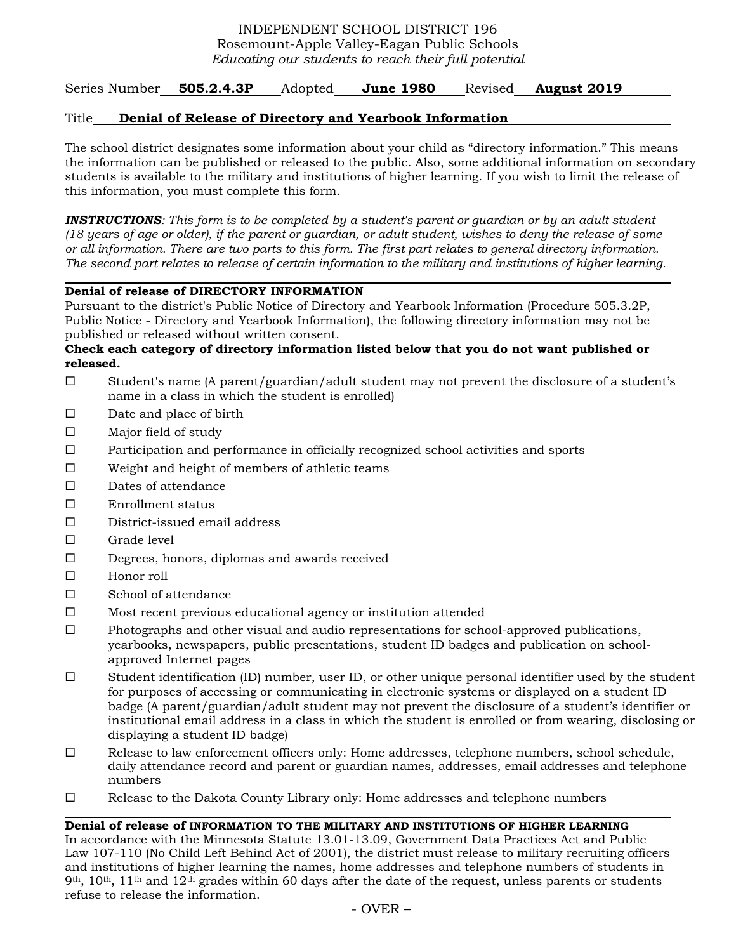# INDEPENDENT SCHOOL DISTRICT 196 Rosemount-Apple Valley-Eagan Public Schools *Educating our students to reach their full potential*

Series Number **505.2.4.3P** Adopted **June 1980** Revised **August 2019** 

## Title **Denial of Release of Directory and Yearbook Information**

The school district designates some information about your child as "directory information." This means the information can be published or released to the public. Also, some additional information on secondary students is available to the military and institutions of higher learning. If you wish to limit the release of this information, you must complete this form.

*INSTRUCTIONS: This form is to be completed by a student's parent or guardian or by an adult student (18 years of age or older), if the parent or guardian, or adult student, wishes to deny the release of some or all information. There are two parts to this form. The first part relates to general directory information. The second part relates to release of certain information to the military and institutions of higher learning.* 

### **Denial of release of DIRECTORY INFORMATION**

Pursuant to the district's Public Notice of Directory and Yearbook Information (Procedure 505.3.2P, Public Notice - Directory and Yearbook Information), the following directory information may not be published or released without written consent.

### **Check each category of directory information listed below that you do not want published or released.**

- Student's name (A parent/guardian/adult student may not prevent the disclosure of a student's name in a class in which the student is enrolled)
- $\square$  Date and place of birth
- $\Box$  Major field of study
- $\Box$  Participation and performance in officially recognized school activities and sports
- $\Box$  Weight and height of members of athletic teams
- $\square$  Dates of attendance
- Enrollment status
- $\square$  District-issued email address
- $\square$  Grade level

- Degrees, honors, diplomas and awards received
- Honor roll

- □ School of attendance
- $\square$  Most recent previous educational agency or institution attended
- $\Box$  Photographs and other visual and audio representations for school-approved publications, yearbooks, newspapers, public presentations, student ID badges and publication on schoolapproved Internet pages
- $\square$  Student identification (ID) number, user ID, or other unique personal identifier used by the student for purposes of accessing or communicating in electronic systems or displayed on a student ID badge (A parent/guardian/adult student may not prevent the disclosure of a student's identifier or institutional email address in a class in which the student is enrolled or from wearing, disclosing or displaying a student ID badge)
- $\Box$  Release to law enforcement officers only: Home addresses, telephone numbers, school schedule, daily attendance record and parent or guardian names, addresses, email addresses and telephone numbers
- $\Box$  Release to the Dakota County Library only: Home addresses and telephone numbers

#### **Denial of release of INFORMATION TO THE MILITARY AND INSTITUTIONS OF HIGHER LEARNING**

In accordance with the Minnesota Statute 13.01-13.09, Government Data Practices Act and Public Law 107-110 (No Child Left Behind Act of 2001), the district must release to military recruiting officers and institutions of higher learning the names, home addresses and telephone numbers of students in 9<sup>th</sup>, 10<sup>th</sup>, 11<sup>th</sup> and 12<sup>th</sup> grades within 60 days after the date of the request, unless parents or students refuse to release the information.